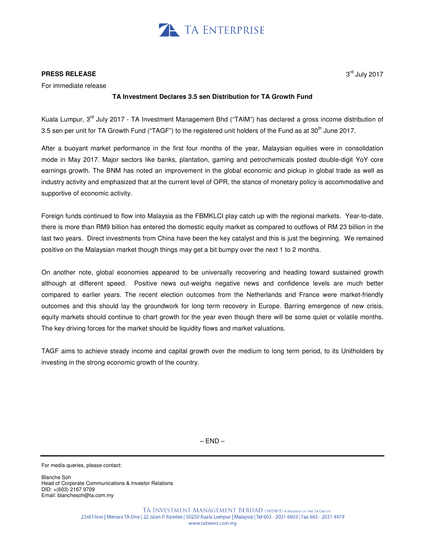

## **PRESS RELEASE**

For immediate release

## **TA Investment Declares 3.5 sen Distribution for TA Growth Fund**

Kuala Lumpur, 3<sup>rd</sup> July 2017 - TA Investment Management Bhd ("TAIM") has declared a gross income distribution of 3.5 sen per unit for TA Growth Fund ("TAGF") to the registered unit holders of the Fund as at 30<sup>th</sup> June 2017.

After a buoyant market performance in the first four months of the year, Malaysian equities were in consolidation mode in May 2017. Major sectors like banks, plantation, gaming and petrochemicals posted double-digit YoY core earnings growth. The BNM has noted an improvement in the global economic and pickup in global trade as well as industry activity and emphasized that at the current level of OPR, the stance of monetary policy is accommodative and supportive of economic activity.

Foreign funds continued to flow into Malaysia as the FBMKLCI play catch up with the regional markets. Year-to-date, there is more than RM9 billion has entered the domestic equity market as compared to outflows of RM 23 billion in the last two years. Direct investments from China have been the key catalyst and this is just the beginning. We remained positive on the Malaysian market though things may get a bit bumpy over the next 1 to 2 months.

On another note, global economies appeared to be universally recovering and heading toward sustained growth although at different speed. Positive news out-weighs negative news and confidence levels are much better compared to earlier years. The recent election outcomes from the Netherlands and France were market-friendly outcomes and this should lay the groundwork for long term recovery in Europe. Barring emergence of new crisis, equity markets should continue to chart growth for the year even though there will be some quiet or volatile months. The key driving forces for the market should be liquidity flows and market valuations.

TAGF aims to achieve steady income and capital growth over the medium to long term period, to its Unitholders by investing in the strong economic growth of the country.

 $-$  END  $-$ 

For media queries, please contact:

Blanche Soh Head of Corporate Communications & Investor Relations DID: +(603) 2167 9709 Email: blanchesoh@ta.com.my